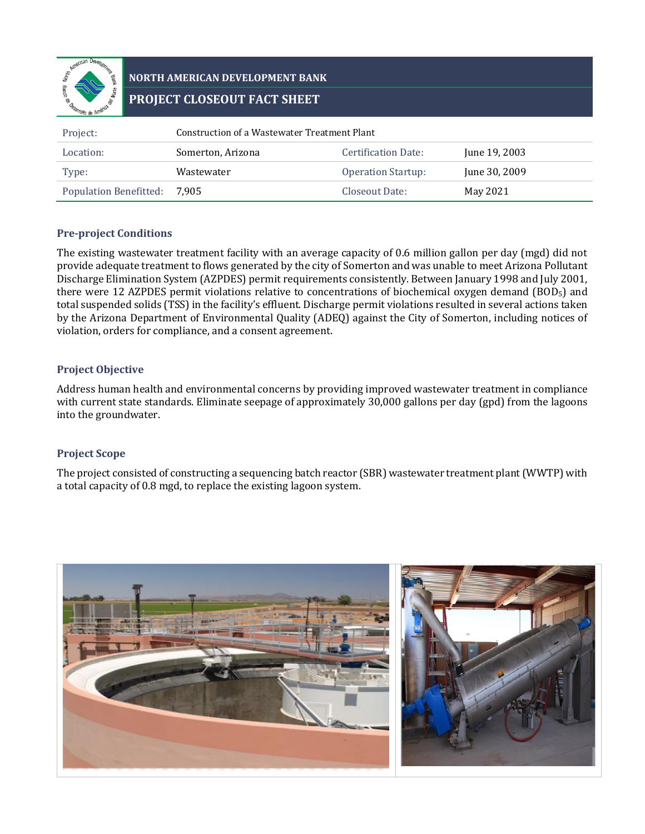

# **NORTH AMERICAN DEVELOPMENT BANK PROJECT CLOSEOUT FACT SHEET**

| Project:                      | Construction of a Wastewater Treatment Plant |                           |               |
|-------------------------------|----------------------------------------------|---------------------------|---------------|
| Location:                     | Somerton, Arizona                            | Certification Date:       | June 19, 2003 |
| Type:                         | Wastewater                                   | <b>Operation Startup:</b> | June 30, 2009 |
| <b>Population Benefitted:</b> | 7.905                                        | Closeout Date:            | May 2021      |

## **Pre-project Conditions**

The existing wastewater treatment facility with an average capacity of 0.6 million gallon per day (mgd) did not provide adequate treatment to flows generated by the city of Somerton and was unable to meet Arizona Pollutant Discharge Elimination System (AZPDES) permit requirements consistently. Between January 1998 and July 2001, there were 12 AZPDES permit violations relative to concentrations of biochemical oxygen demand  $(BOD<sub>5</sub>)$  and total suspended solids (TSS) in the facility's effluent. Discharge permit violations resulted in several actions taken by the Arizona Department of Environmental Quality (ADEQ) against the City of Somerton, including notices of violation, orders for compliance, and a consent agreement.

## **Project Objective**

Address human health and environmental concerns by providing improved wastewater treatment in compliance with current state standards. Eliminate seepage of approximately 30,000 gallons per day (gpd) from the lagoons into the groundwater.

# **Project Scope**

The project consisted of constructing a sequencing batch reactor (SBR) wastewater treatment plant (WWTP) with a total capacity of 0.8 mgd, to replace the existing lagoon system.